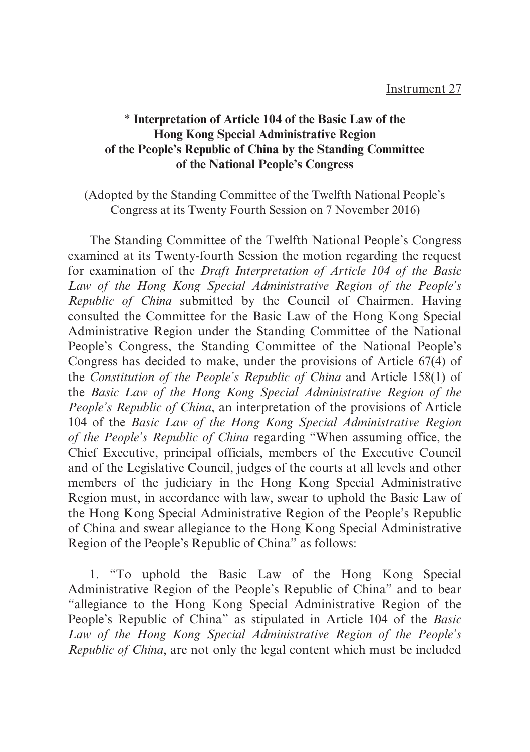## \* **Interpretation of Article 104 of the Basic Law of the Hong Kong Special Administrative Region of the People's Republic of China by the Standing Committee of the National People's Congress**

(Adopted by the Standing Committee of the Twelfth National People's Congress at its Twenty Fourth Session on 7 November 2016)

The Standing Committee of the Twelfth National People's Congress examined at its Twenty-fourth Session the motion regarding the request for examination of the *Draft Interpretation of Article 104 of the Basic Law of the Hong Kong Special Administrative Region of the People's Republic of China* submitted by the Council of Chairmen. Having consulted the Committee for the Basic Law of the Hong Kong Special Administrative Region under the Standing Committee of the National People's Congress, the Standing Committee of the National People's Congress has decided to make, under the provisions of Article 67(4) of the *Constitution of the People's Republic of China* and Article 158(1) of the *Basic Law of the Hong Kong Special Administrative Region of the People's Republic of China*, an interpretation of the provisions of Article 104 of the *Basic Law of the Hong Kong Special Administrative Region of the People's Republic of China* regarding "When assuming office, the Chief Executive, principal officials, members of the Executive Council and of the Legislative Council, judges of the courts at all levels and other members of the judiciary in the Hong Kong Special Administrative Region must, in accordance with law, swear to uphold the Basic Law of the Hong Kong Special Administrative Region of the People's Republic of China and swear allegiance to the Hong Kong Special Administrative Region of the People's Republic of China" as follows:

1. "To uphold the Basic Law of the Hong Kong Special Administrative Region of the People's Republic of China" and to bear "allegiance to the Hong Kong Special Administrative Region of the People's Republic of China" as stipulated in Article 104 of the *Basic Law of the Hong Kong Special Administrative Region of the People's Republic of China*, are not only the legal content which must be included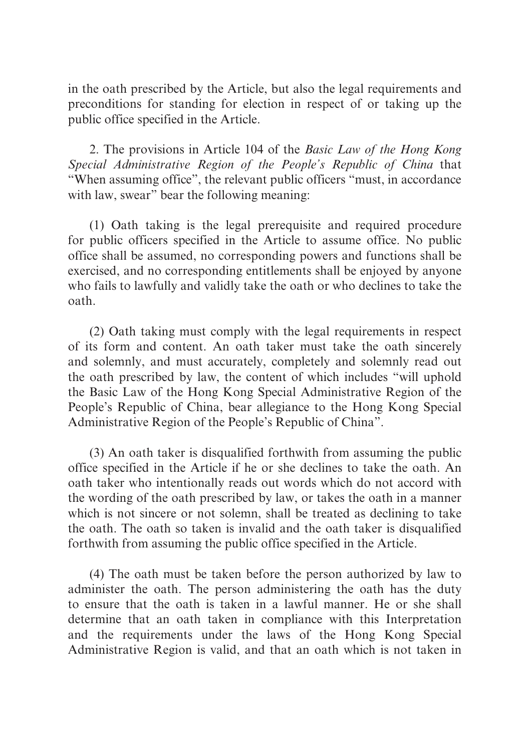in the oath prescribed by the Article, but also the legal requirements and preconditions for standing for election in respect of or taking up the public office specified in the Article.

2. The provisions in Article 104 of the *Basic Law of the Hong Kong Special Administrative Region of the People's Republic of China* that "When assuming office", the relevant public officers "must, in accordance with law, swear" bear the following meaning:

(1) Oath taking is the legal prerequisite and required procedure for public officers specified in the Article to assume office. No public office shall be assumed, no corresponding powers and functions shall be exercised, and no corresponding entitlements shall be enjoyed by anyone who fails to lawfully and validly take the oath or who declines to take the oath.

(2) Oath taking must comply with the legal requirements in respect of its form and content. An oath taker must take the oath sincerely and solemnly, and must accurately, completely and solemnly read out the oath prescribed by law, the content of which includes "will uphold the Basic Law of the Hong Kong Special Administrative Region of the People's Republic of China, bear allegiance to the Hong Kong Special Administrative Region of the People's Republic of China".

(3) An oath taker is disqualified forthwith from assuming the public office specified in the Article if he or she declines to take the oath. An oath taker who intentionally reads out words which do not accord with the wording of the oath prescribed by law, or takes the oath in a manner which is not sincere or not solemn, shall be treated as declining to take the oath. The oath so taken is invalid and the oath taker is disqualified forthwith from assuming the public office specified in the Article.

(4) The oath must be taken before the person authorized by law to administer the oath. The person administering the oath has the duty to ensure that the oath is taken in a lawful manner. He or she shall determine that an oath taken in compliance with this Interpretation and the requirements under the laws of the Hong Kong Special Administrative Region is valid, and that an oath which is not taken in